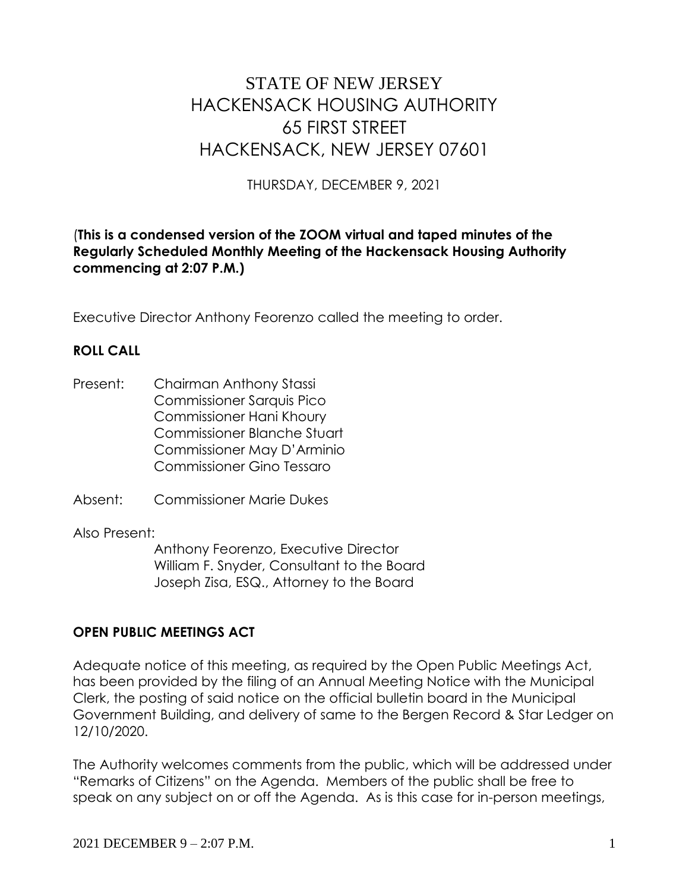# STATE OF NEW JERSEY HACKENSACK HOUSING AUTHORITY 65 FIRST STREET HACKENSACK, NEW JERSEY 07601

THURSDAY, DECEMBER 9, 2021

## (**This is a condensed version of the ZOOM virtual and taped minutes of the Regularly Scheduled Monthly Meeting of the Hackensack Housing Authority commencing at 2:07 P.M.)**

Executive Director Anthony Feorenzo called the meeting to order.

## **ROLL CALL**

- Present: Chairman Anthony Stassi Commissioner Sarquis Pico Commissioner Hani Khoury Commissioner Blanche Stuart Commissioner May D'Arminio Commissioner Gino Tessaro
- Absent: Commissioner Marie Dukes

Also Present:

Anthony Feorenzo, Executive Director William F. Snyder, Consultant to the Board Joseph Zisa, ESQ., Attorney to the Board

## **OPEN PUBLIC MEETINGS ACT**

Adequate notice of this meeting, as required by the Open Public Meetings Act, has been provided by the filing of an Annual Meeting Notice with the Municipal Clerk, the posting of said notice on the official bulletin board in the Municipal Government Building, and delivery of same to the Bergen Record & Star Ledger on 12/10/2020.

The Authority welcomes comments from the public, which will be addressed under "Remarks of Citizens" on the Agenda. Members of the public shall be free to speak on any subject on or off the Agenda. As is this case for in-person meetings,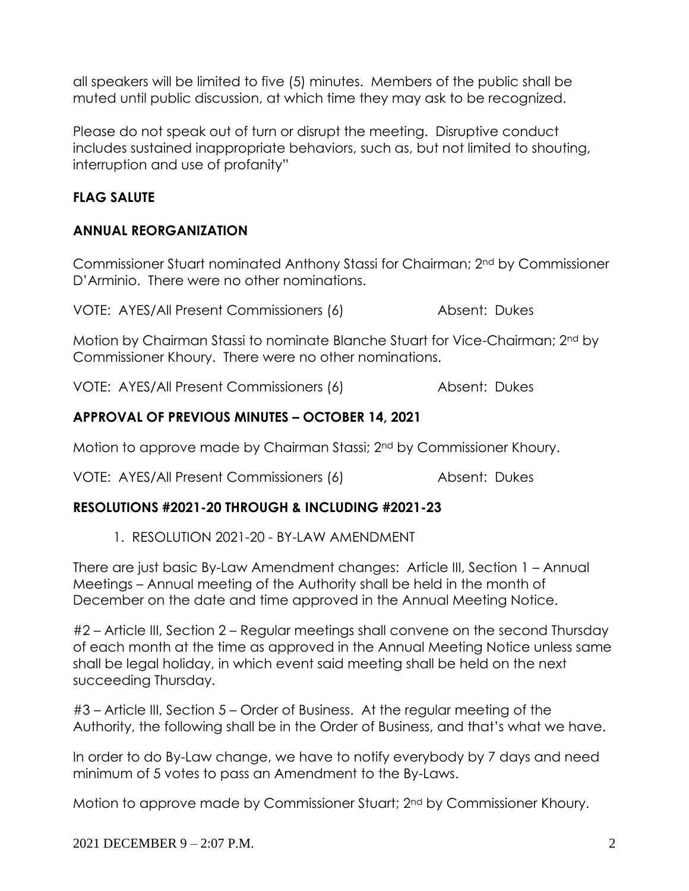all speakers will be limited to five (5) minutes. Members of the public shall be muted until public discussion, at which time they may ask to be recognized.

Please do not speak out of turn or disrupt the meeting. Disruptive conduct includes sustained inappropriate behaviors, such as, but not limited to shouting, interruption and use of profanity"

# **FLAG SALUTE**

## **ANNUAL REORGANIZATION**

Commissioner Stuart nominated Anthony Stassi for Chairman; 2nd by Commissioner D'Arminio. There were no other nominations.

VOTE: AYES/All Present Commissioners (6) Absent: Dukes

Motion by Chairman Stassi to nominate Blanche Stuart for Vice-Chairman; 2nd by Commissioner Khoury. There were no other nominations.

VOTE: AYES/All Present Commissioners (6) Absent: Dukes

# **APPROVAL OF PREVIOUS MINUTES – OCTOBER 14, 2021**

Motion to approve made by Chairman Stassi; 2nd by Commissioner Khoury.

VOTE: AYES/All Present Commissioners (6) Absent: Dukes

# **RESOLUTIONS #2021-20 THROUGH & INCLUDING #2021-23**

1. RESOLUTION 2021-20 - BY-LAW AMENDMENT

There are just basic By-Law Amendment changes: Article III, Section 1 – Annual Meetings – Annual meeting of the Authority shall be held in the month of December on the date and time approved in the Annual Meeting Notice.

#2 – Article III, Section 2 – Regular meetings shall convene on the second Thursday of each month at the time as approved in the Annual Meeting Notice unless same shall be legal holiday, in which event said meeting shall be held on the next succeeding Thursday.

#3 – Article III, Section 5 – Order of Business. At the regular meeting of the Authority, the following shall be in the Order of Business, and that's what we have.

In order to do By-Law change, we have to notify everybody by 7 days and need minimum of 5 votes to pass an Amendment to the By-Laws.

Motion to approve made by Commissioner Stuart; 2nd by Commissioner Khoury.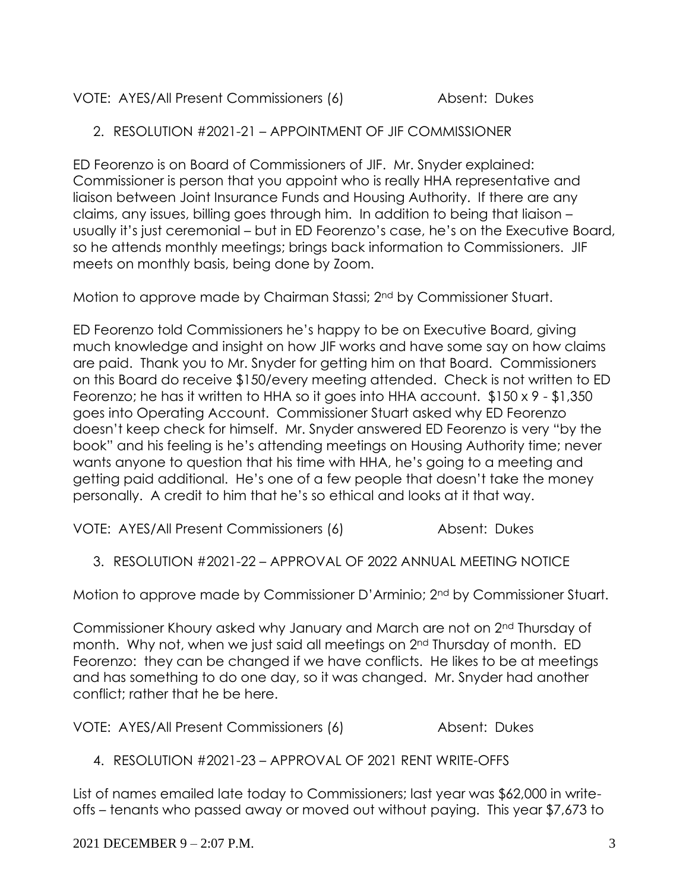# VOTE: AYES/All Present Commissioners (6) Absent: Dukes

2. RESOLUTION #2021-21 – APPOINTMENT OF JIF COMMISSIONER

ED Feorenzo is on Board of Commissioners of JIF. Mr. Snyder explained: Commissioner is person that you appoint who is really HHA representative and liaison between Joint Insurance Funds and Housing Authority. If there are any claims, any issues, billing goes through him. In addition to being that liaison – usually it's just ceremonial – but in ED Feorenzo's case, he's on the Executive Board, so he attends monthly meetings; brings back information to Commissioners. JIF meets on monthly basis, being done by Zoom.

Motion to approve made by Chairman Stassi; 2nd by Commissioner Stuart.

ED Feorenzo told Commissioners he's happy to be on Executive Board, giving much knowledge and insight on how JIF works and have some say on how claims are paid. Thank you to Mr. Snyder for getting him on that Board. Commissioners on this Board do receive \$150/every meeting attended. Check is not written to ED Feorenzo; he has it written to HHA so it goes into HHA account. \$150 x 9 - \$1,350 goes into Operating Account. Commissioner Stuart asked why ED Feorenzo doesn't keep check for himself. Mr. Snyder answered ED Feorenzo is very "by the book" and his feeling is he's attending meetings on Housing Authority time; never wants anyone to question that his time with HHA, he's going to a meeting and getting paid additional. He's one of a few people that doesn't take the money personally. A credit to him that he's so ethical and looks at it that way.

VOTE: AYES/All Present Commissioners (6) Absent: Dukes

3. RESOLUTION #2021-22 – APPROVAL OF 2022 ANNUAL MEETING NOTICE

Motion to approve made by Commissioner D'Arminio; 2nd by Commissioner Stuart.

Commissioner Khoury asked why January and March are not on 2nd Thursday of month. Why not, when we just said all meetings on 2<sup>nd</sup> Thursday of month. ED Feorenzo: they can be changed if we have conflicts. He likes to be at meetings and has something to do one day, so it was changed. Mr. Snyder had another conflict; rather that he be here.

VOTE: AYES/All Present Commissioners (6) Absent: Dukes

4. RESOLUTION #2021-23 – APPROVAL OF 2021 RENT WRITE-OFFS

List of names emailed late today to Commissioners; last year was \$62,000 in writeoffs – tenants who passed away or moved out without paying. This year \$7,673 to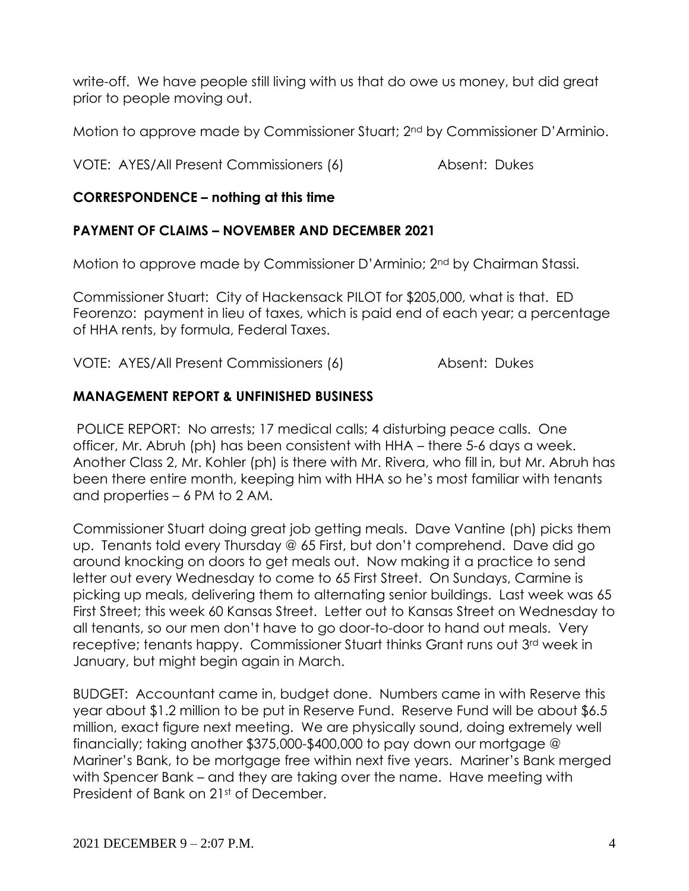write-off. We have people still living with us that do owe us money, but did great prior to people moving out.

Motion to approve made by Commissioner Stuart; 2nd by Commissioner D'Arminio.

VOTE: AYES/All Present Commissioners (6) Absent: Dukes

# **CORRESPONDENCE – nothing at this time**

## **PAYMENT OF CLAIMS – NOVEMBER AND DECEMBER 2021**

Motion to approve made by Commissioner D'Arminio; 2nd by Chairman Stassi.

Commissioner Stuart: City of Hackensack PILOT for \$205,000, what is that. ED Feorenzo: payment in lieu of taxes, which is paid end of each year; a percentage of HHA rents, by formula, Federal Taxes.

VOTE: AYES/All Present Commissioners (6) Absent: Dukes

## **MANAGEMENT REPORT & UNFINISHED BUSINESS**

POLICE REPORT: No arrests; 17 medical calls; 4 disturbing peace calls. One officer, Mr. Abruh (ph) has been consistent with HHA – there 5-6 days a week. Another Class 2, Mr. Kohler (ph) is there with Mr. Rivera, who fill in, but Mr. Abruh has been there entire month, keeping him with HHA so he's most familiar with tenants and properties – 6 PM to 2 AM.

Commissioner Stuart doing great job getting meals. Dave Vantine (ph) picks them up. Tenants told every Thursday @ 65 First, but don't comprehend. Dave did go around knocking on doors to get meals out. Now making it a practice to send letter out every Wednesday to come to 65 First Street. On Sundays, Carmine is picking up meals, delivering them to alternating senior buildings. Last week was 65 First Street; this week 60 Kansas Street. Letter out to Kansas Street on Wednesday to all tenants, so our men don't have to go door-to-door to hand out meals. Very receptive; tenants happy. Commissioner Stuart thinks Grant runs out 3rd week in January, but might begin again in March.

BUDGET: Accountant came in, budget done. Numbers came in with Reserve this year about \$1.2 million to be put in Reserve Fund. Reserve Fund will be about \$6.5 million, exact figure next meeting. We are physically sound, doing extremely well financially; taking another \$375,000-\$400,000 to pay down our mortgage @ Mariner's Bank, to be mortgage free within next five years. Mariner's Bank merged with Spencer Bank – and they are taking over the name. Have meeting with President of Bank on 21st of December.